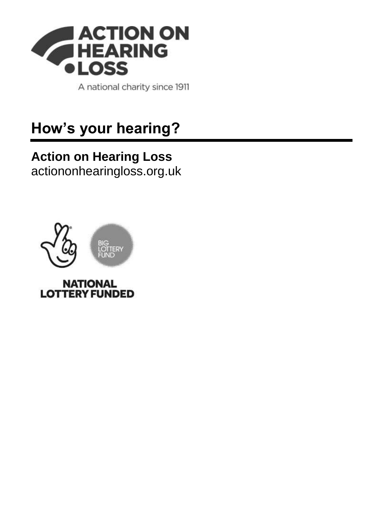

A national charity since 1911

# **How's your hearing?**

# **Action on Hearing Loss**

[actiononhearingloss.org.uk](https://www.actiononhearingloss.org.uk/)



**LOTTERY FUNDED**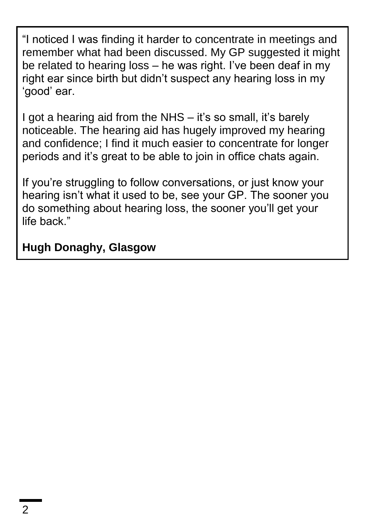"I noticed I was finding it harder to concentrate in meetings and remember what had been discussed. My GP suggested it might be related to hearing loss – he was right. I've been deaf in my right ear since birth but didn't suspect any hearing loss in my 'good' ear.

I got a hearing aid from the NHS – it's so small, it's barely noticeable. The hearing aid has hugely improved my hearing and confidence; I find it much easier to concentrate for longer periods and it's great to be able to join in office chats again.

If you're struggling to follow conversations, or just know your hearing isn't what it used to be, see your GP. The sooner you do something about hearing loss, the sooner you'll get your life back"

#### **Hugh Donaghy, Glasgow**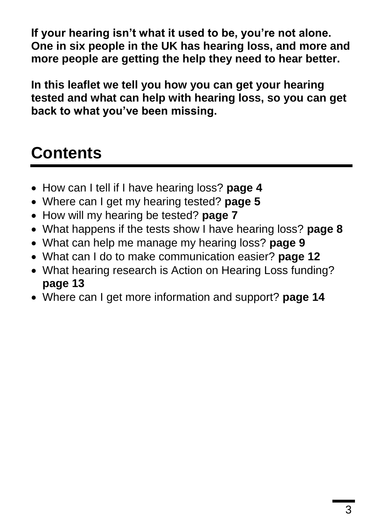**If your hearing isn't what it used to be, you're not alone. One in six people in the UK has hearing loss, and more and more people are getting the help they need to hear better.**

**In this leaflet we tell you how you can get your hearing tested and what can help with hearing loss, so you can get back to what you've been missing.**

# **Contents**

- How can I tell if I have hearing loss? **page 4**
- Where can I get my hearing tested? **page 5**
- How will my hearing be tested? **page 7**
- What happens if the tests show I have hearing loss? **page 8**
- What can help me manage my hearing loss? **page 9**
- What can I do to make communication easier? **page 12**
- What hearing research is Action on Hearing Loss funding? **page 13**
- Where can I get more information and support? **page 14**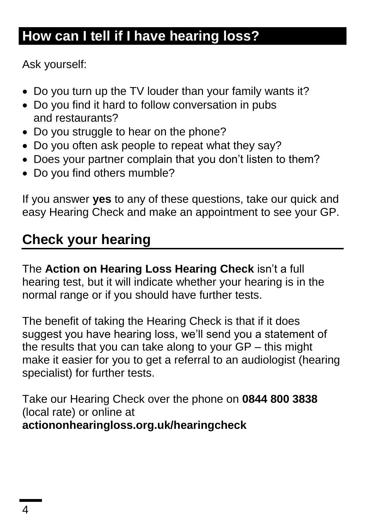# **How can I tell if I have hearing loss?**

Ask yourself:

- Do you turn up the TV louder than your family wants it?
- Do you find it hard to follow conversation in pubs and restaurants?
- Do you struggle to hear on the phone?
- Do you often ask people to repeat what they say?
- Does your partner complain that you don't listen to them?
- Do you find others mumble?

If you answer **yes** to any of these questions, take our quick and easy Hearing Check and make an appointment to see your GP.

# **Check your hearing**

The **Action on Hearing Loss Hearing Check** isn't a full hearing test, but it will indicate whether your hearing is in the normal range or if you should have further tests.

The benefit of taking the Hearing Check is that if it does suggest you have hearing loss, we'll send you a statement of the results that you can take along to your GP – this might make it easier for you to get a referral to an audiologist (hearing specialist) for further tests.

Take our Hearing Check over the phone on **0844 800 3838** (local rate) or online at **actiononhearingloss.org.uk/hearingcheck**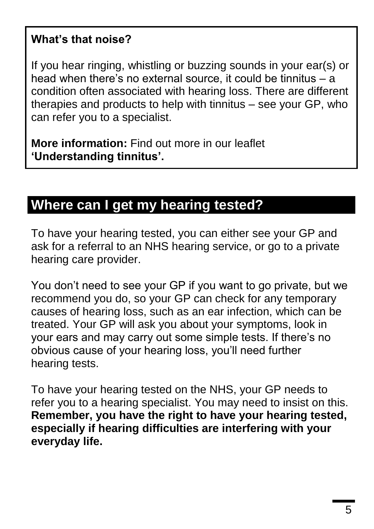#### **What's that noise?**

If you hear ringing, whistling or buzzing sounds in your ear(s) or head when there's no external source, it could be tinnitus – a condition often associated with hearing loss. There are different therapies and products to help with tinnitus – see your GP, who can refer you to a specialist.

**More information:** Find out more in our leaflet **'Understanding tinnitus'.**

### **Where can I get my hearing tested?**

To have your hearing tested, you can either see your GP and ask for a referral to an NHS hearing service, or go to a private hearing care provider.

You don't need to see your GP if you want to go private, but we recommend you do, so your GP can check for any temporary causes of hearing loss, such as an ear infection, which can be treated. Your GP will ask you about your symptoms, look in your ears and may carry out some simple tests. If there's no obvious cause of your hearing loss, you'll need further hearing tests.

To have your hearing tested on the NHS, your GP needs to refer you to a hearing specialist. You may need to insist on this. **Remember, you have the right to have your hearing tested, especially if hearing difficulties are interfering with your everyday life.**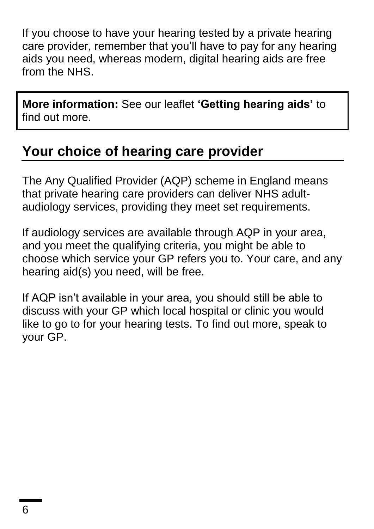If you choose to have your hearing tested by a private hearing care provider, remember that you'll have to pay for any hearing aids you need, whereas modern, digital hearing aids are free from the NHS.

**More information:** See our leaflet **'Getting hearing aids'** to find out more.

### **Your choice of hearing care provider**

The Any Qualified Provider (AQP) scheme in England means that private hearing care providers can deliver NHS adultaudiology services, providing they meet set requirements.

If audiology services are available through AQP in your area, and you meet the qualifying criteria, you might be able to choose which service your GP refers you to. Your care, and any hearing aid(s) you need, will be free.

If AQP isn't available in your area, you should still be able to discuss with your GP which local hospital or clinic you would like to go to for your hearing tests. To find out more, speak to your GP.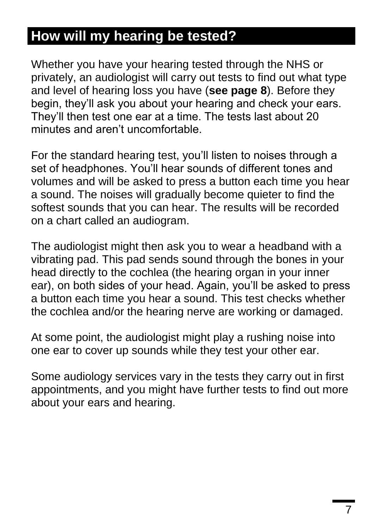## **How will my hearing be tested?**

Whether you have your hearing tested through the NHS or privately, an audiologist will carry out tests to find out what type and level of hearing loss you have (**see page 8**). Before they begin, they'll ask you about your hearing and check your ears. They'll then test one ear at a time. The tests last about 20 minutes and aren't uncomfortable.

For the standard hearing test, you'll listen to noises through a set of headphones. You'll hear sounds of different tones and volumes and will be asked to press a button each time you hear a sound. The noises will gradually become quieter to find the softest sounds that you can hear. The results will be recorded on a chart called an audiogram.

The audiologist might then ask you to wear a headband with a vibrating pad. This pad sends sound through the bones in your head directly to the cochlea (the hearing organ in your inner ear), on both sides of your head. Again, you'll be asked to press a button each time you hear a sound. This test checks whether the cochlea and/or the hearing nerve are working or damaged.

At some point, the audiologist might play a rushing noise into one ear to cover up sounds while they test your other ear.

Some audiology services vary in the tests they carry out in first appointments, and you might have further tests to find out more about your ears and hearing.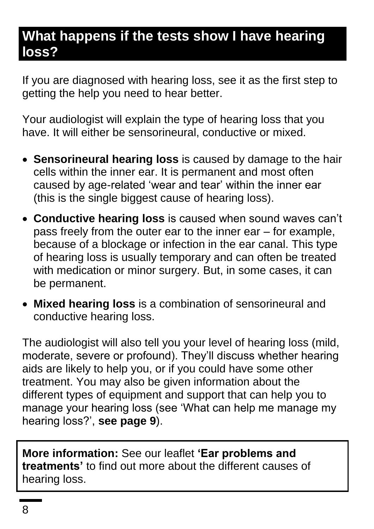### **What happens if the tests show I have hearing loss?**

If you are diagnosed with hearing loss, see it as the first step to getting the help you need to hear better.

Your audiologist will explain the type of hearing loss that you have. It will either be sensorineural, conductive or mixed.

- **Sensorineural hearing loss** is caused by damage to the hair cells within the inner ear. It is permanent and most often caused by age-related 'wear and tear' within the inner ear (this is the single biggest cause of hearing loss).
- **Conductive hearing loss** is caused when sound waves can't pass freely from the outer ear to the inner ear – for example, because of a blockage or infection in the ear canal. This type of hearing loss is usually temporary and can often be treated with medication or minor surgery. But, in some cases, it can be permanent.
- **Mixed hearing loss** is a combination of sensorineural and conductive hearing loss.

The audiologist will also tell you your level of hearing loss (mild, moderate, severe or profound). They'll discuss whether hearing aids are likely to help you, or if you could have some other treatment. You may also be given information about the different types of equipment and support that can help you to manage your hearing loss (see 'What can help me manage my hearing loss?', **see page 9**).

**More information:** See our leaflet **'Ear problems and treatments'** to find out more about the different causes of hearing loss.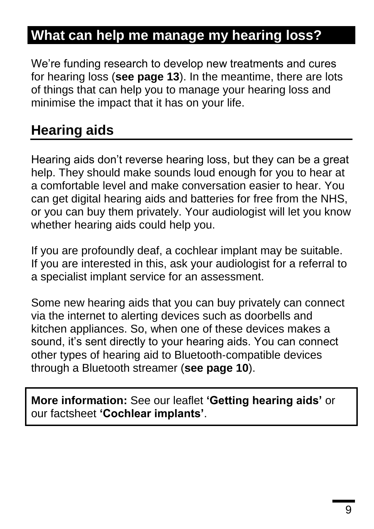## **What can help me manage my hearing loss?**

We're funding research to develop new treatments and cures for hearing loss (**see page 13**). In the meantime, there are lots of things that can help you to manage your hearing loss and minimise the impact that it has on your life.

### **Hearing aids**

Hearing aids don't reverse hearing loss, but they can be a great help. They should make sounds loud enough for you to hear at a comfortable level and make conversation easier to hear. You can get digital hearing aids and batteries for free from the NHS, or you can buy them privately. Your audiologist will let you know whether hearing aids could help you.

If you are profoundly deaf, a cochlear implant may be suitable. If you are interested in this, ask your audiologist for a referral to a specialist implant service for an assessment.

Some new hearing aids that you can buy privately can connect via the internet to alerting devices such as doorbells and kitchen appliances. So, when one of these devices makes a sound, it's sent directly to your hearing aids. You can connect other types of hearing aid to Bluetooth-compatible devices through a Bluetooth streamer (**see page 10**).

**More information:** See our leaflet **'Getting hearing aids'** or our factsheet **'Cochlear implants'**.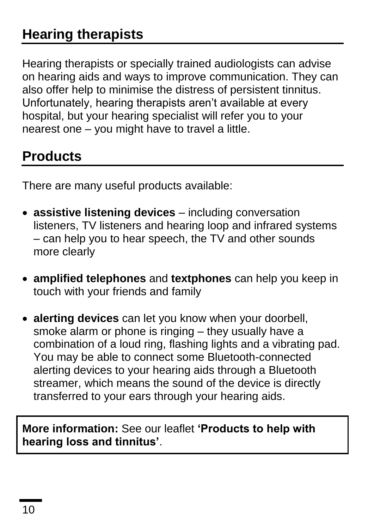Hearing therapists or specially trained audiologists can advise on hearing aids and ways to improve communication. They can also offer help to minimise the distress of persistent tinnitus. Unfortunately, hearing therapists aren't available at every hospital, but your hearing specialist will refer you to your nearest one – you might have to travel a little.

## **Products**

There are many useful products available:

- **assistive listening devices** including conversation listeners, TV listeners and hearing loop and infrared systems – can help you to hear speech, the TV and other sounds more clearly
- **amplified telephones** and **textphones** can help you keep in touch with your friends and family
- **alerting devices** can let you know when your doorbell, smoke alarm or phone is ringing – they usually have a combination of a loud ring, flashing lights and a vibrating pad. You may be able to connect some Bluetooth-connected alerting devices to your hearing aids through a Bluetooth streamer, which means the sound of the device is directly transferred to your ears through your hearing aids.

#### **More information:** See our leaflet **'Products to help with hearing loss and tinnitus'**.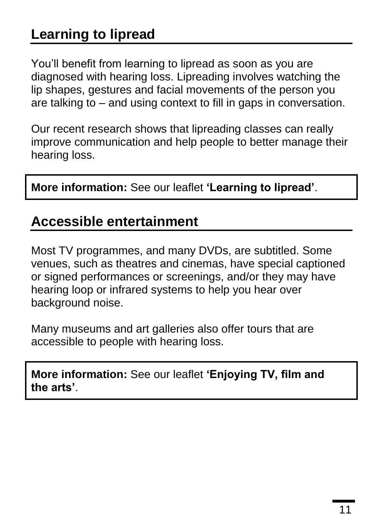# **Learning to lipread**

You'll benefit from learning to lipread as soon as you are diagnosed with hearing loss. Lipreading involves watching the lip shapes, gestures and facial movements of the person you are talking to – and using context to fill in gaps in conversation.

Our recent research shows that lipreading classes can really improve communication and help people to better manage their hearing loss.

**More information:** See our leaflet **'Learning to lipread'**.

#### **Accessible entertainment**

Most TV programmes, and many DVDs, are subtitled. Some venues, such as theatres and cinemas, have special captioned or signed performances or screenings, and/or they may have hearing loop or infrared systems to help you hear over background noise.

Many museums and art galleries also offer tours that are accessible to people with hearing loss.

**More information:** See our leaflet **'Enjoying TV, film and the arts'**.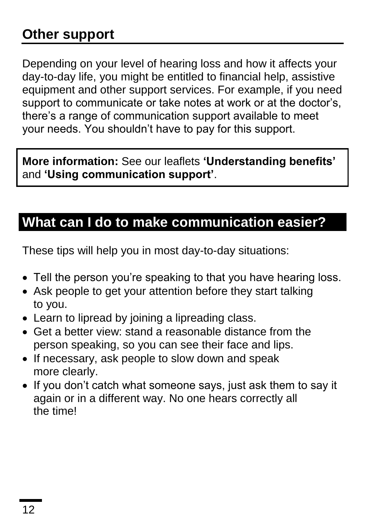# **Other support**

Depending on your level of hearing loss and how it affects your day-to-day life, you might be entitled to financial help, assistive equipment and other support services. For example, if you need support to communicate or take notes at work or at the doctor's, there's a range of communication support available to meet your needs. You shouldn't have to pay for this support.

**More information:** See our leaflets **'Understanding benefits'** and **'Using communication support'**.

#### **What can I do to make communication easier?**

These tips will help you in most day-to-day situations:

- Tell the person you're speaking to that you have hearing loss.
- Ask people to get your attention before they start talking to you.
- Learn to lipread by joining a lipreading class.
- Get a better view: stand a reasonable distance from the person speaking, so you can see their face and lips.
- If necessary, ask people to slow down and speak more clearly.
- If you don't catch what someone says, just ask them to say it again or in a different way. No one hears correctly all the time!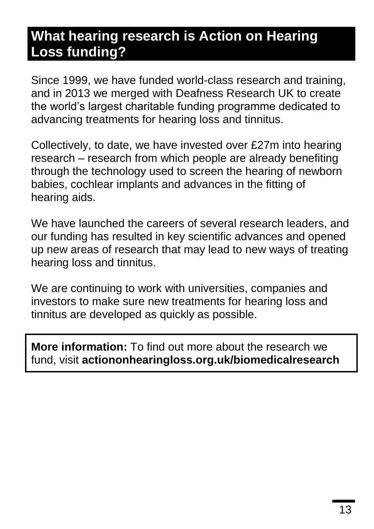### **What hearing research is Action on Hearing Loss funding?**

Since 1999, we have funded world-class research and training, and in 2013 we merged with Deafness Research UK to create the world's largest charitable funding programme dedicated to advancing treatments for hearing loss and tinnitus.

Collectively, to date, we have invested over £27m into hearing research – research from which people are already benefiting through the technology used to screen the hearing of newborn babies, cochlear implants and advances in the fitting of hearing aids.

We have launched the careers of several research leaders, and our funding has resulted in key scientific advances and opened up new areas of research that may lead to new ways of treating hearing loss and tinnitus.

We are continuing to work with universities, companies and investors to make sure new treatments for hearing loss and tinnitus are developed as quickly as possible.

**More information:** To find out more about the research we fund, visit **actiononhearingloss.org.uk/biomedicalresearch**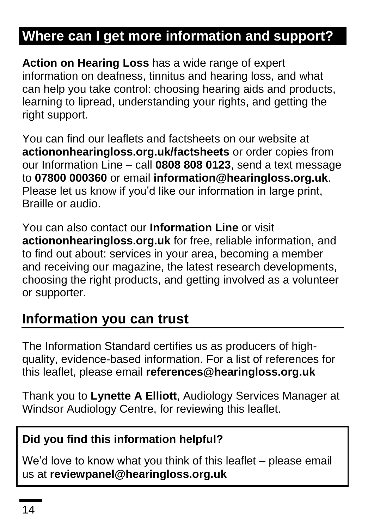# **Where can I get more information and support?**

**Action on Hearing Loss** has a wide range of expert information on deafness, tinnitus and hearing loss, and what can help you take control: choosing hearing aids and products, learning to lipread, understanding your rights, and getting the right support.

You can find our leaflets and factsheets on our website at **actiononhearingloss.org.uk/factsheets** or order copies from our Information Line – call **0808 808 0123**, send a text message to **07800 000360** or email **information@hearingloss.org.uk**. Please let us know if you'd like our information in large print, Braille or audio.

You can also contact our **Information Line** or visit **actiononhearingloss.org.uk** for free, reliable information, and to find out about: services in your area, becoming a member and receiving our magazine, the latest research developments, choosing the right products, and getting involved as a volunteer or supporter.

#### **Information you can trust**

The Information Standard certifies us as producers of highquality, evidence-based information. For a list of references for this leaflet, please email **references@hearingloss.org.uk**

Thank you to **Lynette A Elliott**, Audiology Services Manager at Windsor Audiology Centre, for reviewing this leaflet.

#### **Did you find this information helpful?**

We'd love to know what you think of this leaflet – please email us at **reviewpanel@hearingloss.org.uk**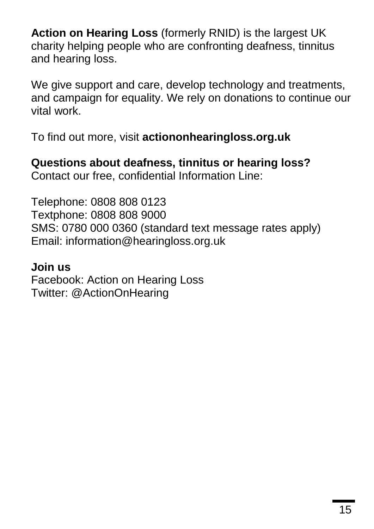**Action on Hearing Loss** (formerly RNID) is the largest UK charity helping people who are confronting deafness, tinnitus and hearing loss.

We give support and care, develop technology and treatments, and campaign for equality. We rely on donations to continue our vital work.

To find out more, visit **actiononhearingloss.org.uk**

**Questions about deafness, tinnitus or hearing loss?** Contact our free, confidential Information Line:

Telephone: 0808 808 0123 Textphone: 0808 808 9000 SMS: 0780 000 0360 (standard text message rates apply) Email: information@hearingloss.org.uk

#### **Join us**

Facebook: Action on Hearing Loss Twitter: @ActionOnHearing